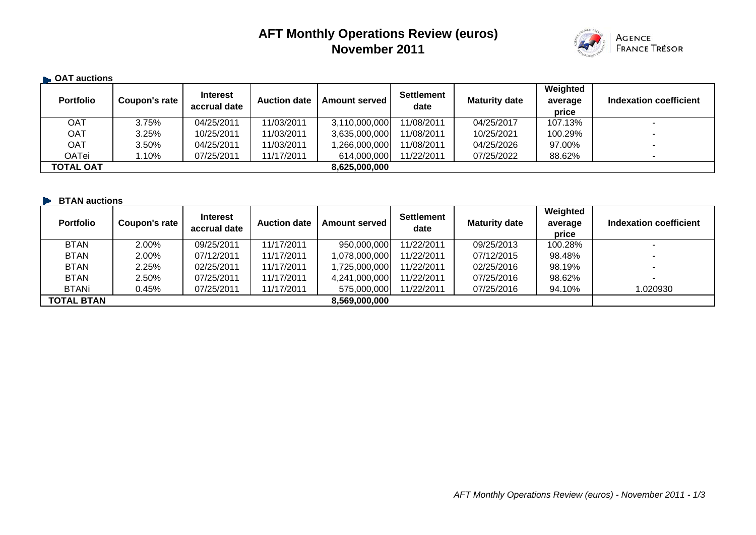# **AFT Monthly Operations Review (euros) November 2011**



#### **B** OAT auctions **Portfolio Coupon's rate decay accrual date Auction date Amount served Settlement Maturity date average average price Indexation coefficient**OAT 3.75% 04/25/2011 11/03/2011 3,110,000,000 11/08/2011 04/25/2017 107.13% -OAT | 3.25% | 10/25/2011 | 11/03/2011 | 3,635,000,000 11/08/2011 | 10/25/2021 | 100.29% | - -OAT 3.50% 04/25/2011 11/03/2011 1,266,000,000 11/08/2011 04/25/2026 97.00% - OATei | 1.10% | 07/25/2011 | 11/17/2011 | 614,000,000| 11/22/2011 | 07/25/2022 | 88.62% | -**TOTAL OAT 8,625,000,000**

#### **BTAN auctions**

| <b>Portfolio</b>  | Coupon's rate | <b>Interest</b><br>accrual date | <b>Auction date</b> | <b>Amount served</b> | <b>Settlement</b><br>date | <b>Maturity date</b> | Weighted<br>average<br>price | Indexation coefficient |
|-------------------|---------------|---------------------------------|---------------------|----------------------|---------------------------|----------------------|------------------------------|------------------------|
| <b>BTAN</b>       | 2.00%         | 09/25/2011                      | 11/17/2011          | 950,000,000          | 11/22/2011                | 09/25/2013           | 100.28%                      | ۰                      |
| <b>BTAN</b>       | 2.00%         | 07/12/2011                      | 11/17/2011          | 1,078,000,000        | 11/22/2011                | 07/12/2015           | 98.48%                       | ۰                      |
| <b>BTAN</b>       | 2.25%         | 02/25/2011                      | 11/17/2011          | 1,725,000,000        | 11/22/2011                | 02/25/2016           | 98.19%                       | $\sim$                 |
| <b>BTAN</b>       | 2.50%         | 07/25/2011                      | 11/17/2011          | 4,241,000,000        | 11/22/2011                | 07/25/2016           | 98.62%                       | $\sim$                 |
| <b>BTANi</b>      | 0.45%         | 07/25/2011                      | 11/17/2011          | 575,000,000          | 11/22/2011                | 07/25/2016           | 94.10%                       | 1.020930               |
| <b>TOTAL BTAN</b> |               |                                 |                     | 8,569,000,000        |                           |                      |                              |                        |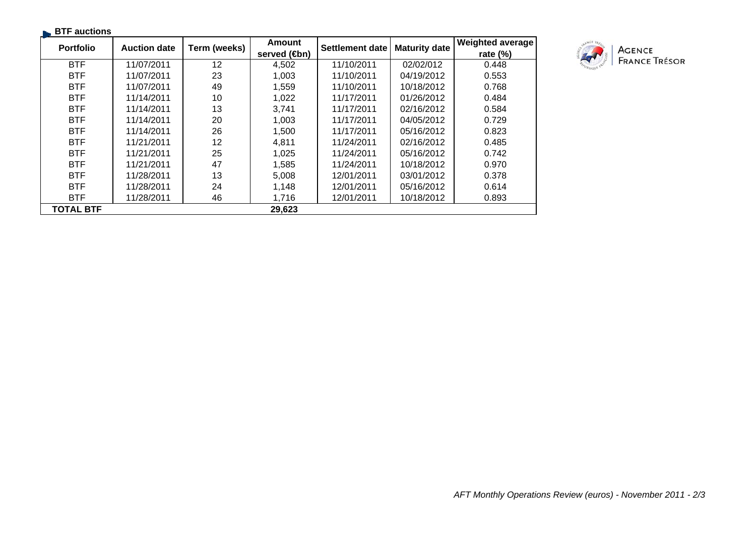| <b>BTF</b> auctions |                     |              |                                |                 |                      |                                        |
|---------------------|---------------------|--------------|--------------------------------|-----------------|----------------------|----------------------------------------|
| <b>Portfolio</b>    | <b>Auction date</b> | Term (weeks) | Amount<br>served ( <b>⊕</b> n) | Settlement date | <b>Maturity date</b> | <b>Weighted average</b><br>rate $(\%)$ |
| <b>BTF</b>          | 11/07/2011          | $12 \,$      | 4,502                          | 11/10/2011      | 02/02/012            | 0.448                                  |
| <b>BTF</b>          | 11/07/2011          | 23           | 1,003                          | 11/10/2011      | 04/19/2012           | 0.553                                  |
| <b>BTF</b>          | 11/07/2011          | 49           | 1,559                          | 11/10/2011      | 10/18/2012           | 0.768                                  |
| <b>BTF</b>          | 11/14/2011          | 10           | 1,022                          | 11/17/2011      | 01/26/2012           | 0.484                                  |
| <b>BTF</b>          | 11/14/2011          | 13           | 3,741                          | 11/17/2011      | 02/16/2012           | 0.584                                  |
| <b>BTF</b>          | 11/14/2011          | 20           | 1,003                          | 11/17/2011      | 04/05/2012           | 0.729                                  |
| <b>BTF</b>          | 11/14/2011          | 26           | 1,500                          | 11/17/2011      | 05/16/2012           | 0.823                                  |
| <b>BTF</b>          | 11/21/2011          | 12           | 4,811                          | 11/24/2011      | 02/16/2012           | 0.485                                  |
| <b>BTF</b>          | 11/21/2011          | 25           | 1,025                          | 11/24/2011      | 05/16/2012           | 0.742                                  |
| <b>BTF</b>          | 11/21/2011          | 47           | 1,585                          | 11/24/2011      | 10/18/2012           | 0.970                                  |
| <b>BTF</b>          | 11/28/2011          | 13           | 5,008                          | 12/01/2011      | 03/01/2012           | 0.378                                  |
| <b>BTF</b>          | 11/28/2011          | 24           | 1,148                          | 12/01/2011      | 05/16/2012           | 0.614                                  |
| <b>BTF</b>          | 11/28/2011          | 46           | 1,716                          | 12/01/2011      | 10/18/2012           | 0.893                                  |
| <b>TOTAL BTF</b>    |                     |              | 29,623                         |                 |                      |                                        |